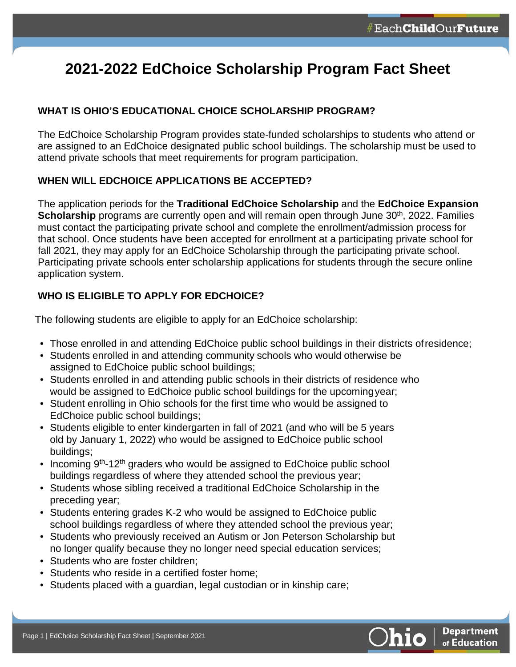# **2021-2022 EdChoice Scholarship Program Fact Sheet**

# **WHAT IS OHIO'S EDUCATIONAL CHOICE SCHOLARSHIP PROGRAM?**

The EdChoice Scholarship Program provides state-funded scholarships to students who attend or are assigned to an EdChoice designated public school buildings. The scholarship must be used to attend private schools that meet requirements for program participation.

# **WHEN WILL EDCHOICE APPLICATIONS BE ACCEPTED?**

The application periods for the **Traditional EdChoice Scholarship** and the **EdChoice Expansion Scholarship** programs are currently open and will remain open through June 30<sup>th</sup>, 2022. Families must contact the participating private school and complete the enrollment/admission process for that school. Once students have been accepted for enrollment at a participating private school for fall 2021, they may apply for an EdChoice Scholarship through the participating private school. Participating private schools enter scholarship applications for students through the secure online application system.

# **WHO IS ELIGIBLE TO APPLY FOR EDCHOICE?**

The following students are eligible to apply for an EdChoice scholarship:

- Those enrolled in and attending EdChoice public school buildings in their districts ofresidence;
- Students enrolled in and attending community schools who would otherwise be assigned to EdChoice public school buildings;
- Students enrolled in and attending public schools in their districts of residence who would be assigned to EdChoice public school buildings for the upcomingyear;
- Student enrolling in Ohio schools for the first time who would be assigned to EdChoice public school buildings;
- Students eligible to enter kindergarten in fall of 2021 (and who will be 5 years old by January 1, 2022) who would be assigned to EdChoice public school buildings;
- Incoming  $9<sup>th</sup>$ -12<sup>th</sup> graders who would be assigned to EdChoice public school buildings regardless of where they attended school the previous year;
- Students whose sibling received a traditional EdChoice Scholarship in the preceding year;
- Students entering grades K-2 who would be assigned to EdChoice public school buildings regardless of where they attended school the previous year;
- Students who previously received an Autism or Jon Peterson Scholarship but no longer qualify because they no longer need special education services;
- Students who are foster children;
- Students who reside in a certified foster home;
- Students placed with a guardian, legal custodian or in kinship care;

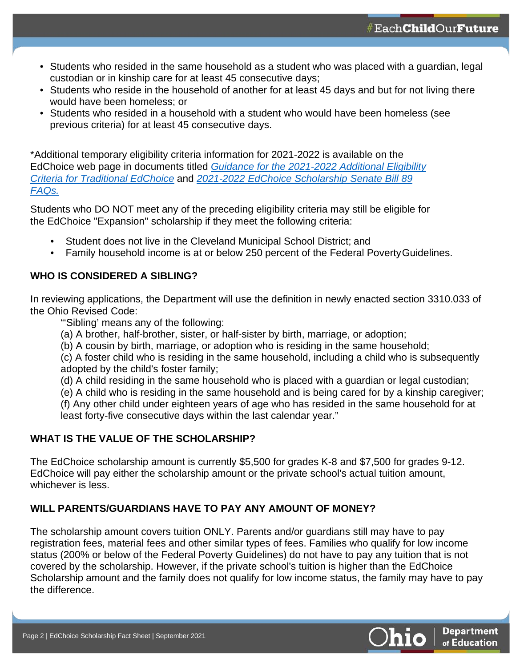- Students who resided in the same household as a student who was placed with a guardian, legal custodian or in kinship care for at least 45 consecutive days;
- Students who reside in the household of another for at least 45 days and but for not living there would have been homeless; or
- Students who resided in a household with a student who would have been homeless (see previous criteria) for at least 45 consecutive days.

\*Additional temporary eligibility criteria information for 2021-2022 is available on the EdChoice web page in documents titled *[Guidance for the 2021-2022 Additional Eligibility](http://education.ohio.gov/getattachment/Topics/Other-Resources/Scholarships/EdChoice-Scholarship-Program/Guidance-for-2021-2022-Additional-EdChoice-Eligibility.pdf.aspx?lang=en-US)  [Criteria for Traditional EdChoice](http://education.ohio.gov/getattachment/Topics/Other-Resources/Scholarships/EdChoice-Scholarship-Program/Guidance-for-2021-2022-Additional-EdChoice-Eligibility.pdf.aspx?lang=en-US)* and *[2021-2022 EdChoice Scholarship Senate](http://education.ohio.gov/getattachment/Topics/Other-Resources/Scholarships/EdChoice-Scholarship-Program/Sec5-SB89-FAQ-03-18-2021.pdf.aspx?lang=en-US) Bill 89 [FAQs.](http://education.ohio.gov/getattachment/Topics/Other-Resources/Scholarships/EdChoice-Scholarship-Program/Sec5-SB89-FAQ-03-18-2021.pdf.aspx?lang=en-US)*

Students who DO NOT meet any of the preceding eligibility criteria may still be eligible for the EdChoice "Expansion" scholarship if they meet the following criteria:

- Student does not live in the Cleveland Municipal School District; and
- Family household income is at or below 250 percent of the Federal PovertyGuidelines.

## **WHO IS CONSIDERED A SIBLING?**

In reviewing applications, the Department will use the definition in newly enacted section 3310.033 of the Ohio Revised Code:

"'Sibling' means any of the following:

- (a) A brother, half-brother, sister, or half-sister by birth, marriage, or adoption;
- (b) A cousin by birth, marriage, or adoption who is residing in the same household;

(c) A foster child who is residing in the same household, including a child who is subsequently adopted by the child's foster family;

- (d) A child residing in the same household who is placed with a guardian or legal custodian;
- (e) A child who is residing in the same household and is being cared for by a kinship caregiver;

(f) Any other child under eighteen years of age who has resided in the same household for at least forty-five consecutive days within the last calendar year."

#### **WHAT IS THE VALUE OF THE SCHOLARSHIP?**

The EdChoice scholarship amount is currently \$5,500 for grades K-8 and \$7,500 for grades 9-12. EdChoice will pay either the scholarship amount or the private school's actual tuition amount, whichever is less.

# **WILL PARENTS/GUARDIANS HAVE TO PAY ANY AMOUNT OF MONEY?**

The scholarship amount covers tuition ONLY. Parents and/or guardians still may have to pay registration fees, material fees and other similar types of fees. Families who qualify for low income status (200% or below of the Federal Poverty Guidelines) do not have to pay any tuition that is not covered by the scholarship. However, if the private school's tuition is higher than the EdChoice Scholarship amount and the family does not qualify for low income status, the family may have to pay the difference.

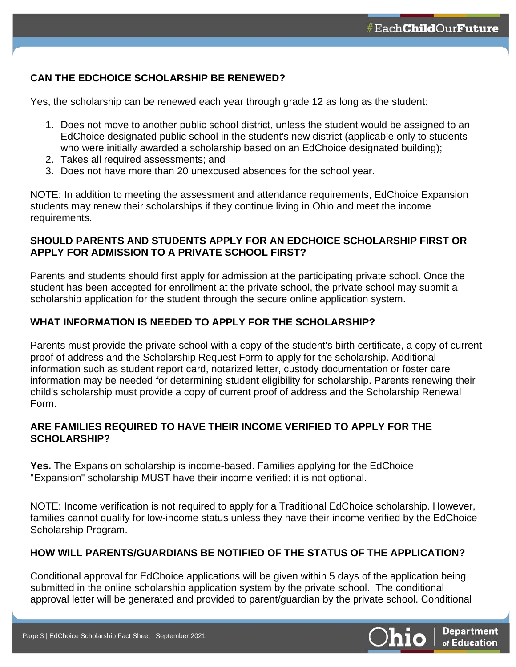# **CAN THE EDCHOICE SCHOLARSHIP BE RENEWED?**

Yes, the scholarship can be renewed each year through grade 12 as long as the student:

- 1. Does not move to another public school district, unless the student would be assigned to an EdChoice designated public school in the student's new district (applicable only to students who were initially awarded a scholarship based on an EdChoice designated building);
- 2. Takes all required assessments; and
- 3. Does not have more than 20 unexcused absences for the school year.

NOTE: In addition to meeting the assessment and attendance requirements, EdChoice Expansion students may renew their scholarships if they continue living in Ohio and meet the income requirements.

#### **SHOULD PARENTS AND STUDENTS APPLY FOR AN EDCHOICE SCHOLARSHIP FIRST OR APPLY FOR ADMISSION TO A PRIVATE SCHOOL FIRST?**

Parents and students should first apply for admission at the participating private school. Once the student has been accepted for enrollment at the private school, the private school may submit a scholarship application for the student through the secure online application system.

## **WHAT INFORMATION IS NEEDED TO APPLY FOR THE SCHOLARSHIP?**

Parents must provide the private school with a copy of the student's birth certificate, a copy of current proof of address and the Scholarship Request Form to apply for the scholarship. Additional information such as student report card, notarized letter, custody documentation or foster care information may be needed for determining student eligibility for scholarship. Parents renewing their child's scholarship must provide a copy of current proof of address and the Scholarship Renewal Form.

## **ARE FAMILIES REQUIRED TO HAVE THEIR INCOME VERIFIED TO APPLY FOR THE SCHOLARSHIP?**

**Yes.** The Expansion scholarship is income-based. Families applying for the EdChoice "Expansion" scholarship MUST have their income verified; it is not optional.

NOTE: Income verification is not required to apply for a Traditional EdChoice scholarship. However, families cannot qualify for low-income status unless they have their income verified by the EdChoice Scholarship Program.

#### **HOW WILL PARENTS/GUARDIANS BE NOTIFIED OF THE STATUS OF THE APPLICATION?**

Conditional approval for EdChoice applications will be given within 5 days of the application being submitted in the online scholarship application system by the private school. The conditional approval letter will be generated and provided to parent/guardian by the private school. Conditional